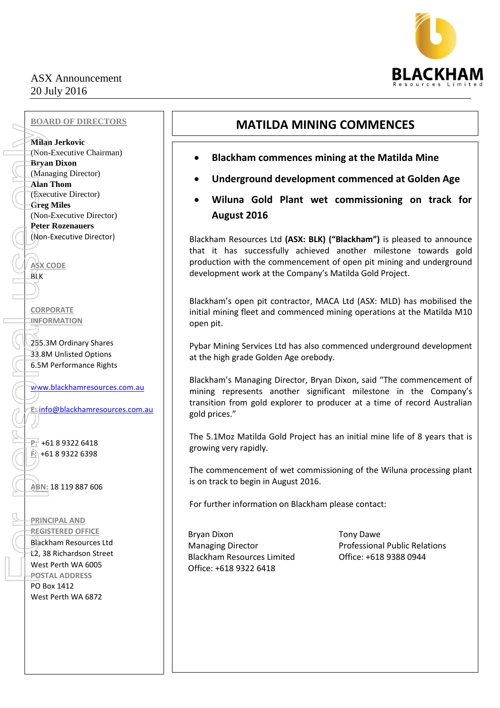## ASX Announcement 20 July 2016



## **BOARD OF DIRECTORS**

**Milan Jerkovic** (Non-Executive Chairman) **Bryan Dixon** (Managing Director) **Alan Thom** (Executive Director) **Greg Miles**  (Non-Executive Director) **Peter Rozenauers** (Non-Executive Director)

**ASX CODE** BLK

**CORPORATE INFORMATION** 

255.3M Ordinary Shares 33.8M Unlisted Options 6.5M Performance Rights

[www.blackhamresources.com.au](http://www.blackhamresources.com.au/)

**E:** [info@blackhamresources.com.au](mailto:info@blackhamresources.com.au)

**P:** +61 8 9322 6418 **F:** +61 8 9322 6398

**ABN:** 18 119 887 606

**PRINCIPAL AND REGISTERED OFFICE** Blackham Resources Ltd L2, 38 Richardson Street West Perth WA 6005 **POSTAL ADDRESS** PO Box 1412 West Perth WA 6872

# **MATILDA MINING COMMENCES**

- **Blackham commences mining at the Matilda Mine**
- **Underground development commenced at Golden Age**
- **Wiluna Gold Plant wet commissioning on track for August 2016**

Blackham Resources Ltd **(ASX: BLK) ("Blackham")** is pleased to announce that it has successfully achieved another milestone towards gold production with the commencement of open pit mining and underground development work at the Company's Matilda Gold Project.

Blackham's open pit contractor, MACA Ltd (ASX: MLD) has mobilised the initial mining fleet and commenced mining operations at the Matilda M10 open pit.

Pybar Mining Services Ltd has also commenced underground development at the high grade Golden Age orebody.

Blackham's Managing Director, Bryan Dixon, said "The commencement of mining represents another significant milestone in the Company's transition from gold explorer to producer at a time of record Australian gold prices."

The 5.1Moz Matilda Gold Project has an initial mine life of 8 years that is growing very rapidly.

The commencement of wet commissioning of the Wiluna processing plant is on track to begin in August 2016.

For further information on Blackham please contact:

Bryan Dixon **Tony Dawe** Blackham Resources Limited Office: +618 9388 0944 Office: +618 9322 6418

Managing Director **National Public Relations** Professional Public Relations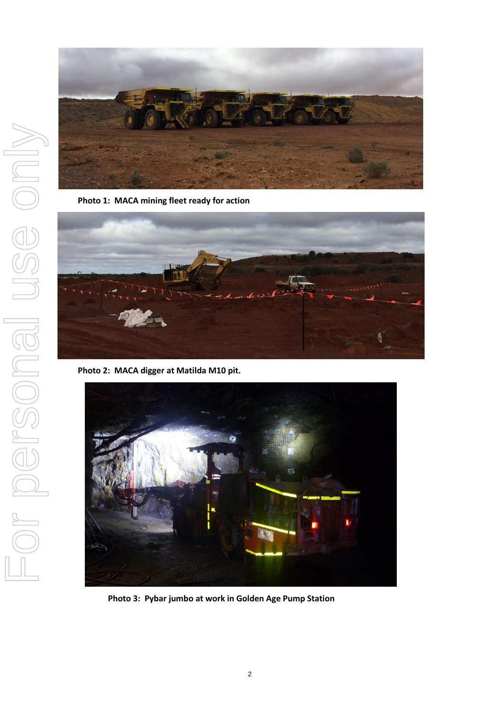

**Photo 1: MACA mining fleet ready for action**



**Photo 2: MACA digger at Matilda M10 pit.**



**Photo 3: Pybar jumbo at work in Golden Age Pump Station**